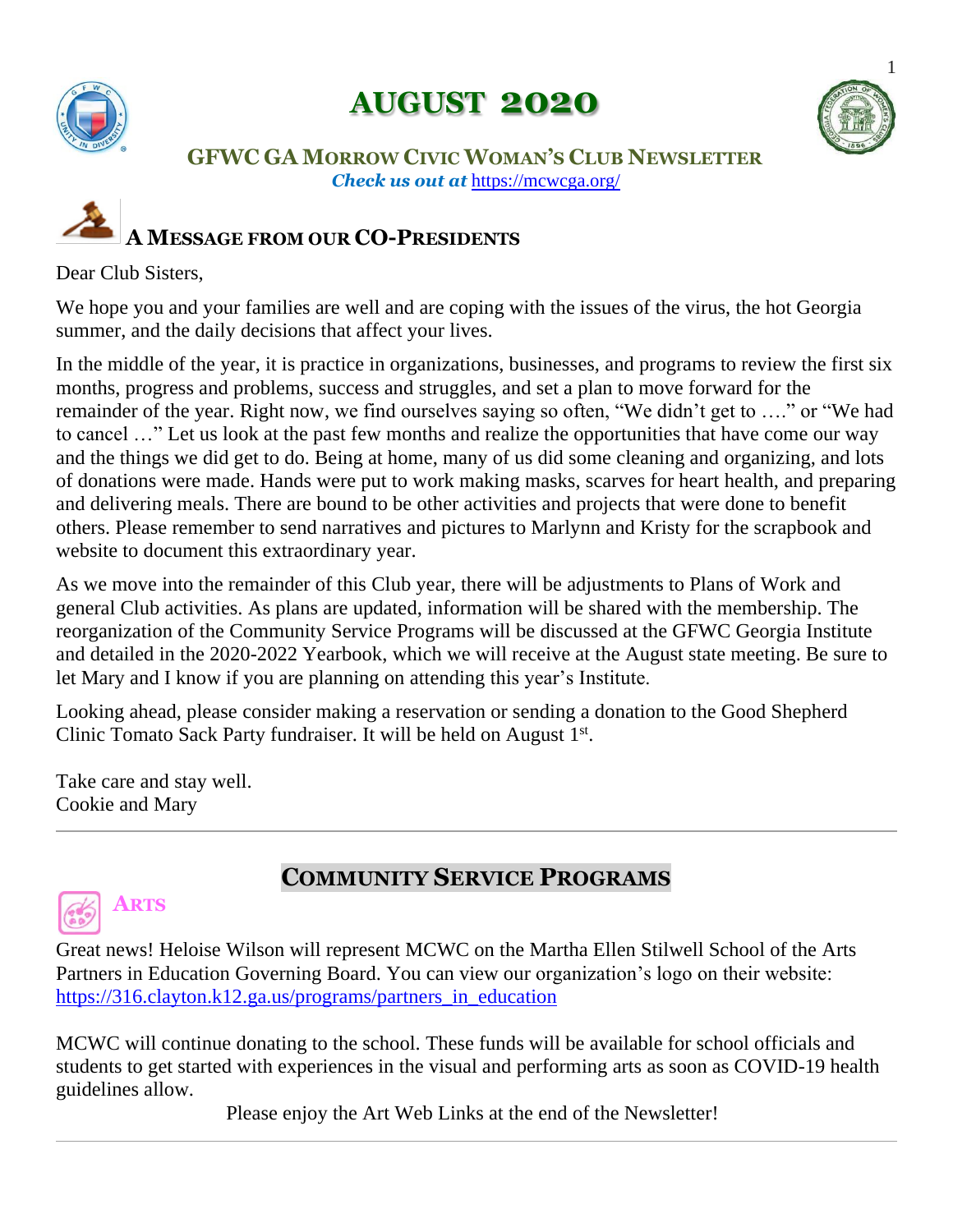

# **AUGUST 2020**



#### **GFWC GA MORROW CIVIC WOMAN'S CLUB NEWSLETTER** *Check us out at* <https://mcwcga.org/>

# **A MESSAGE FROM OUR CO-PRESIDENTS**

#### Dear Club Sisters,

We hope you and your families are well and are coping with the issues of the virus, the hot Georgia summer, and the daily decisions that affect your lives.

In the middle of the year, it is practice in organizations, businesses, and programs to review the first six months, progress and problems, success and struggles, and set a plan to move forward for the remainder of the year. Right now, we find ourselves saying so often, "We didn't get to …." or "We had to cancel …" Let us look at the past few months and realize the opportunities that have come our way and the things we did get to do. Being at home, many of us did some cleaning and organizing, and lots of donations were made. Hands were put to work making masks, scarves for heart health, and preparing and delivering meals. There are bound to be other activities and projects that were done to benefit others. Please remember to send narratives and pictures to Marlynn and Kristy for the scrapbook and website to document this extraordinary year.

As we move into the remainder of this Club year, there will be adjustments to Plans of Work and general Club activities. As plans are updated, information will be shared with the membership. The reorganization of the Community Service Programs will be discussed at the GFWC Georgia Institute and detailed in the 2020-2022 Yearbook, which we will receive at the August state meeting. Be sure to let Mary and I know if you are planning on attending this year's Institute.

Looking ahead, please consider making a reservation or sending a donation to the Good Shepherd Clinic Tomato Sack Party fundraiser. It will be held on August 1<sup>st</sup>.

Take care and stay well. Cookie and Mary

# **ARTS**

### **COMMUNITY SERVICE PROGRAMS**

Great news! Heloise Wilson will represent MCWC on the Martha Ellen Stilwell School of the Arts Partners in Education Governing Board. You can view our organization's logo on their website: https://316.clayton.k12.ga.us/programs/partners in education

MCWC will continue donating to the school. These funds will be available for school officials and students to get started with experiences in the visual and performing arts as soon as COVID-19 health guidelines allow.

Please enjoy the Art Web Links at the end of the Newsletter!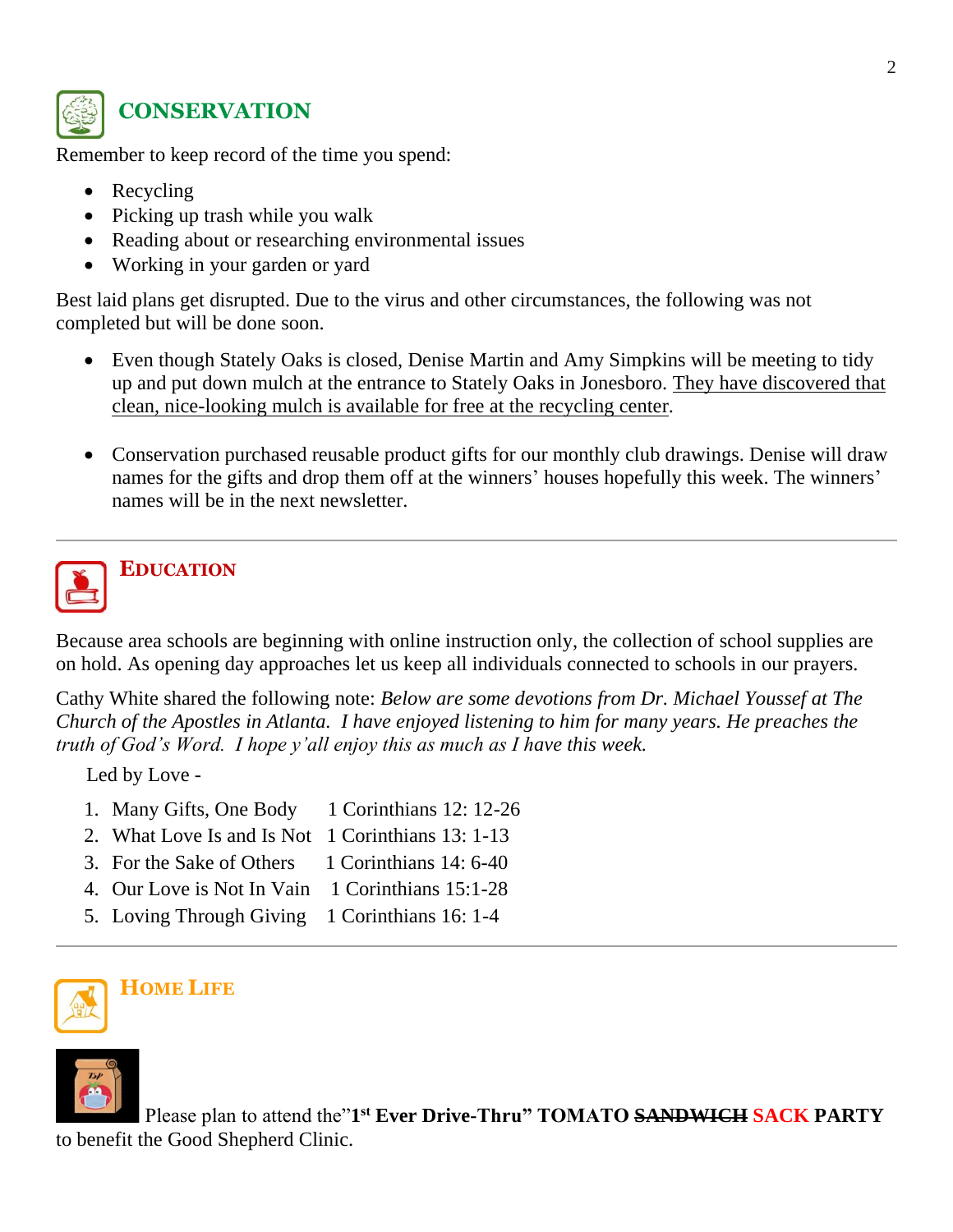

### **CONSERVATION**

Remember to keep record of the time you spend:

- Recycling
- Picking up trash while you walk
- Reading about or researching environmental issues
- Working in your garden or yard

Best laid plans get disrupted. Due to the virus and other circumstances, the following was not completed but will be done soon.

- Even though Stately Oaks is closed, Denise Martin and Amy Simpkins will be meeting to tidy up and put down mulch at the entrance to Stately Oaks in Jonesboro. They have discovered that clean, nice-looking mulch is available for free at the recycling center.
- Conservation purchased reusable product gifts for our monthly club drawings. Denise will draw names for the gifts and drop them off at the winners' houses hopefully this week. The winners' names will be in the next newsletter.



# **EDUCATION**

Because area schools are beginning with online instruction only, the collection of school supplies are on hold. As opening day approaches let us keep all individuals connected to schools in our prayers.

Cathy White shared the following note: *Below are some devotions from Dr. Michael Youssef at The Church of the Apostles in Atlanta. I have enjoyed listening to him for many years. He preaches the truth of God's Word. I hope y'all enjoy this as much as I have this week.*

Led by Love -

- 1. Many Gifts, One Body 1 Corinthians 12: 12-26
- 2. What Love Is and Is Not 1 Corinthians 13: 1-13
- 3. For the Sake of Others 1 Corinthians 14: 6-40
- 4. Our Love is Not In Vain 1 Corinthians 15:1-28
- 5. Loving Through Giving 1 Corinthians 16: 1-4





Please plan to attend the"1<sup>st</sup> Ever Drive-Thru" TOMATO SANDWICH SACK PARTY to benefit the Good Shepherd Clinic.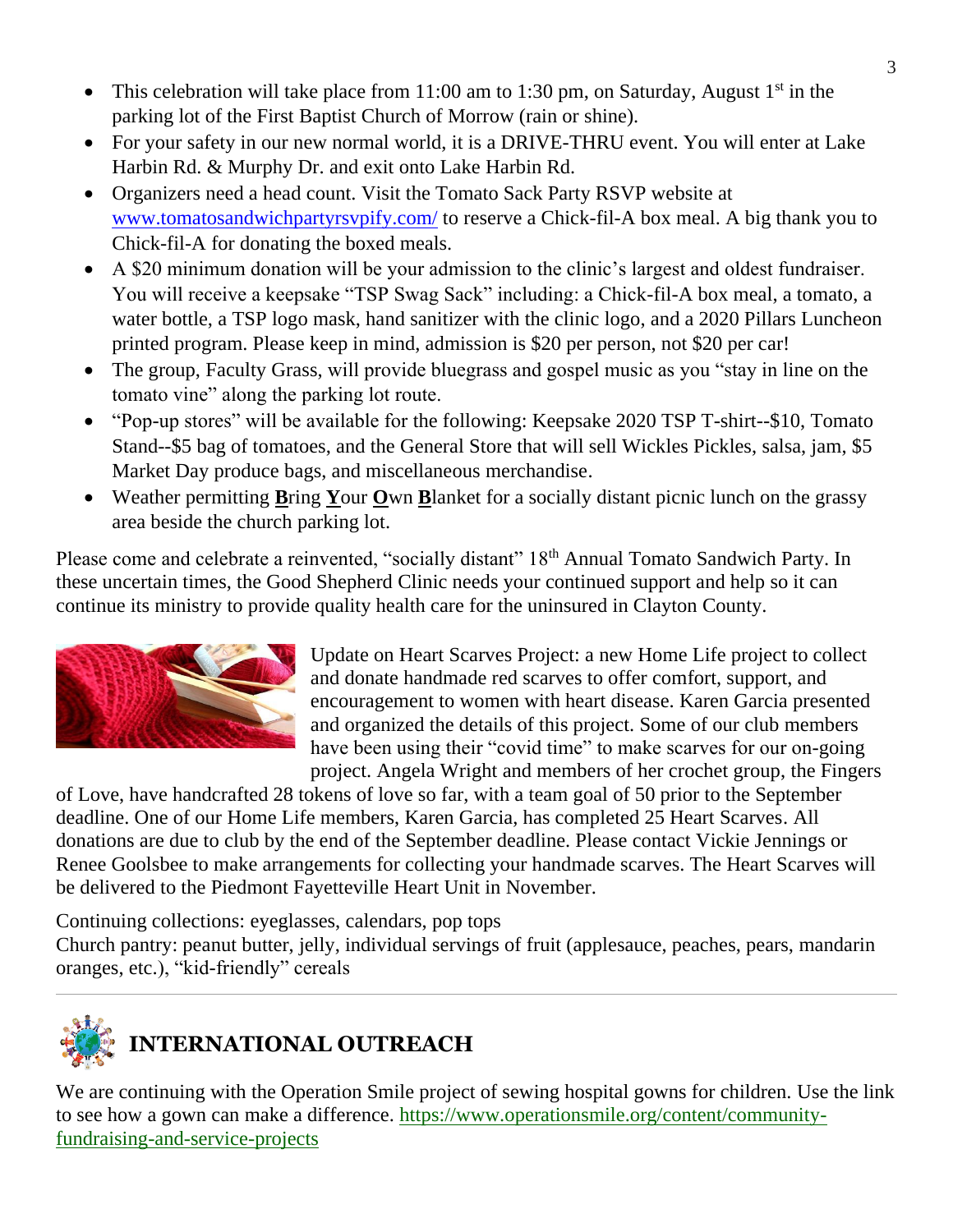- This celebration will take place from 11:00 am to 1:30 pm, on Saturday, August  $1<sup>st</sup>$  in the parking lot of the First Baptist Church of Morrow (rain or shine).
- For your safety in our new normal world, it is a DRIVE-THRU event. You will enter at Lake Harbin Rd. & Murphy Dr. and exit onto Lake Harbin Rd.
- Organizers need a head count. Visit the Tomato Sack Party RSVP website at [www.tomatosandwichpartyrsvpify.com/](http://www.tomatosandwichpartyrsvpify.com/) to reserve a Chick-fil-A box meal. A big thank you to Chick-fil-A for donating the boxed meals.
- A \$20 minimum donation will be your admission to the clinic's largest and oldest fundraiser. You will receive a keepsake "TSP Swag Sack" including: a Chick-fil-A box meal, a tomato, a water bottle, a TSP logo mask, hand sanitizer with the clinic logo, and a 2020 Pillars Luncheon printed program. Please keep in mind, admission is \$20 per person, not \$20 per car!
- The group, Faculty Grass, will provide bluegrass and gospel music as you "stay in line on the tomato vine" along the parking lot route.
- "Pop-up stores" will be available for the following: Keepsake 2020 TSP T-shirt--\$10, Tomato Stand--\$5 bag of tomatoes, and the General Store that will sell Wickles Pickles, salsa, jam, \$5 Market Day produce bags, and miscellaneous merchandise.
- Weather permitting **B**ring **Y**our **O**wn **B**lanket for a socially distant picnic lunch on the grassy area beside the church parking lot.

Please come and celebrate a reinvented, "socially distant" 18<sup>th</sup> Annual Tomato Sandwich Party. In these uncertain times, the Good Shepherd Clinic needs your continued support and help so it can continue its ministry to provide quality health care for the uninsured in Clayton County.



Update on Heart Scarves Project: a new Home Life project to collect and donate handmade red scarves to offer comfort, support, and encouragement to women with heart disease. Karen Garcia presented and organized the details of this project. Some of our club members have been using their "covid time" to make scarves for our on-going project. Angela Wright and members of her crochet group, the Fingers

of Love, h[ave handcraft](https://creativecommons.org/licenses/by-nc-nd/3.0/)ed 28 tokens of love so far, with a team goal of 50 prior to the September deadline. One of our Home Life members, Karen Garcia, has completed 25 Heart Scarves. All donations are due to club by the end of the September deadline. Please contact Vickie Jennings or Renee Goolsbee to make arrangements for collecting your handmade scarves. The Heart Scarves will be delivered to the Piedmont Fayetteville Heart Unit in November.

Continuing collections: eyeglasses, calendars, pop tops

Church pantry: peanut butter, jelly, individual servings of fruit (applesauce, peaches, pears, mandarin oranges, etc.), "kid-friendly" cereals



## **INTERNATIONAL OUTREACH**

We are continuing with the Operation Smile project of sewing hospital gowns for children. Use the link to see how a gown can make a difference. https://www.operationsmile.org/content/communityfundraising-and-service-projects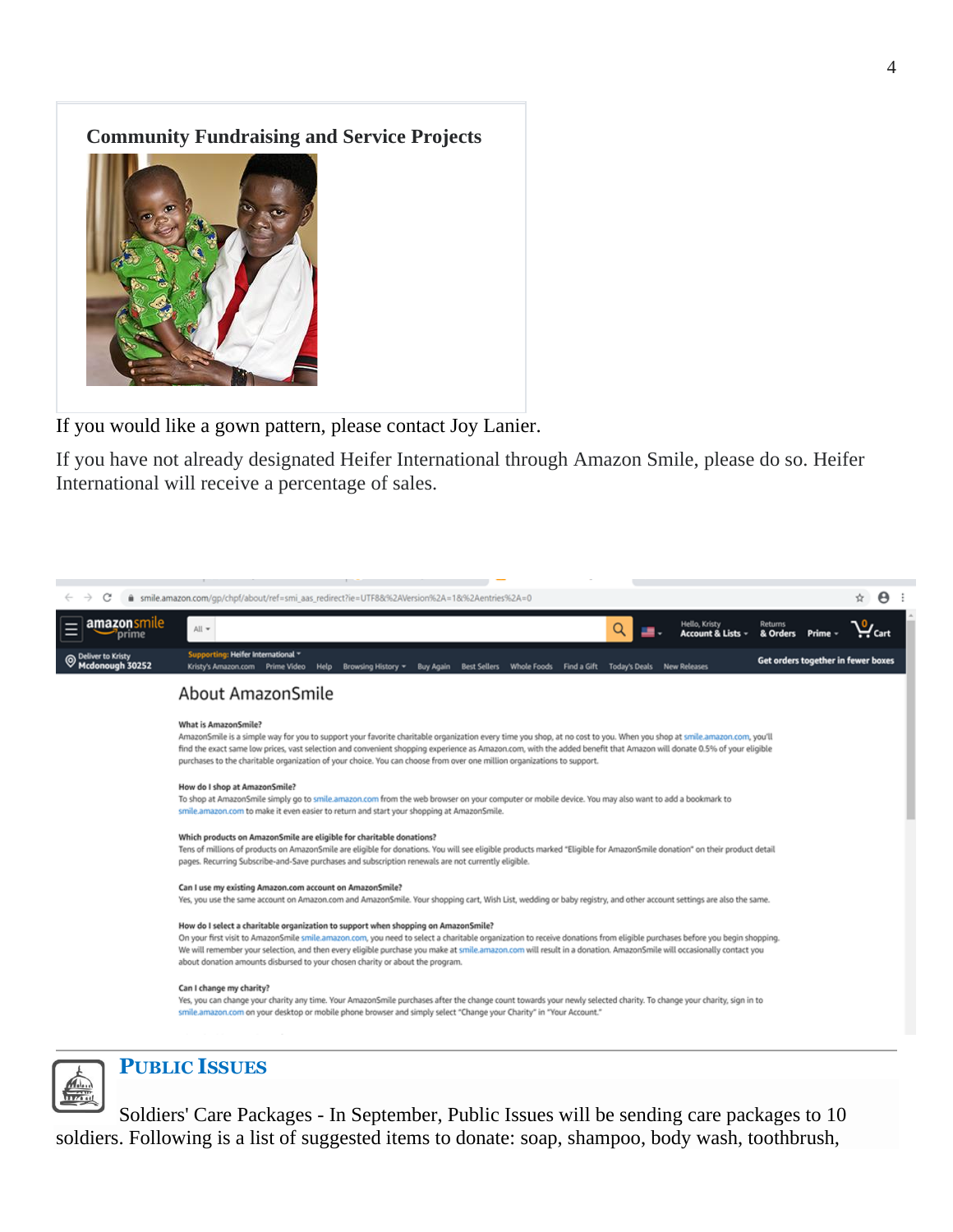#### **Community Fundraising and Service Projects**



If you would like a gown pattern, please contact Joy Lanier.

If you have not already designated Heifer International through Amazon Smile, please do so. Heifer International will receive a percentage of sales.





#### **PUBLIC ISSUES**

Soldiers' Care Packages - In September, Public Issues will be sending care packages to 10 soldiers. Following is a list of suggested items to donate: soap, shampoo, body wash, toothbrush,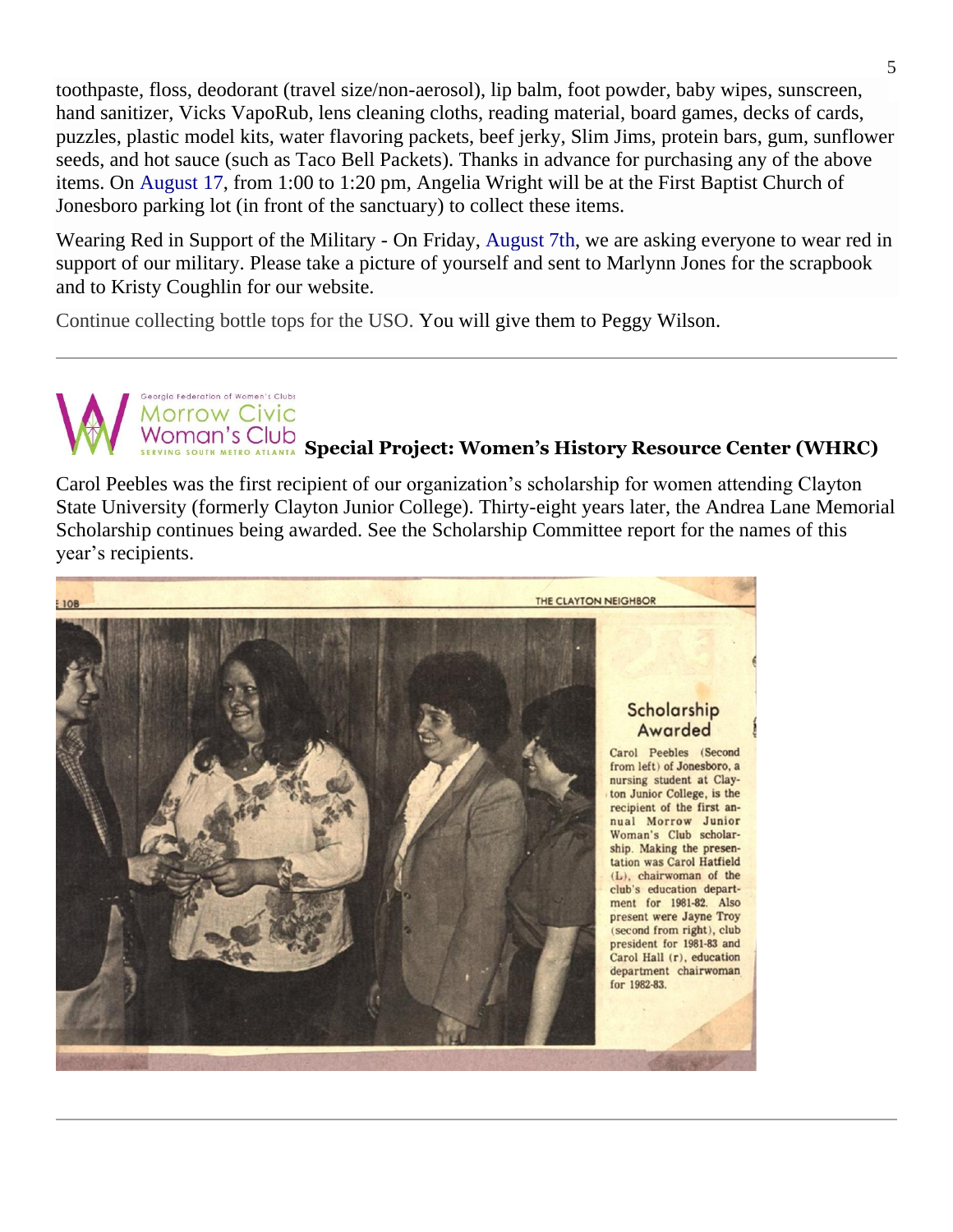toothpaste, floss, deodorant (travel size/non-aerosol), lip balm, foot powder, baby wipes, sunscreen, hand sanitizer, Vicks VapoRub, lens cleaning cloths, reading material, board games, decks of cards, puzzles, plastic model kits, water flavoring packets, beef jerky, Slim Jims, protein bars, gum, sunflower seeds, and hot sauce (such as Taco Bell Packets). Thanks in advance for purchasing any of the above items. On August 17, from 1:00 to 1:20 pm, Angelia Wright will be at the First Baptist Church of Jonesboro parking lot (in front of the sanctuary) to collect these items.

Wearing Red in Support of the Military - On Friday, August 7th, we are asking everyone to wear red in support of our military. Please take a picture of yourself and sent to Marlynn Jones for the scrapbook and to Kristy Coughlin for our website.

Continue collecting bottle tops for the USO. You will give them to Peggy Wilson.

.<br>Seoraia Federation of Women's Clubs **Morrow Civic** 

# **SPECIAL SPECIAL Project: Women's History Resource Center (WHRC)**

Carol Peebles was the first recipient of our organization's scholarship for women attending Clayton State University (formerly Clayton Junior College). Thirty-eight years later, the Andrea Lane Memorial Scholarship continues being awarded. See the Scholarship Committee report for the names of this year's recipients.

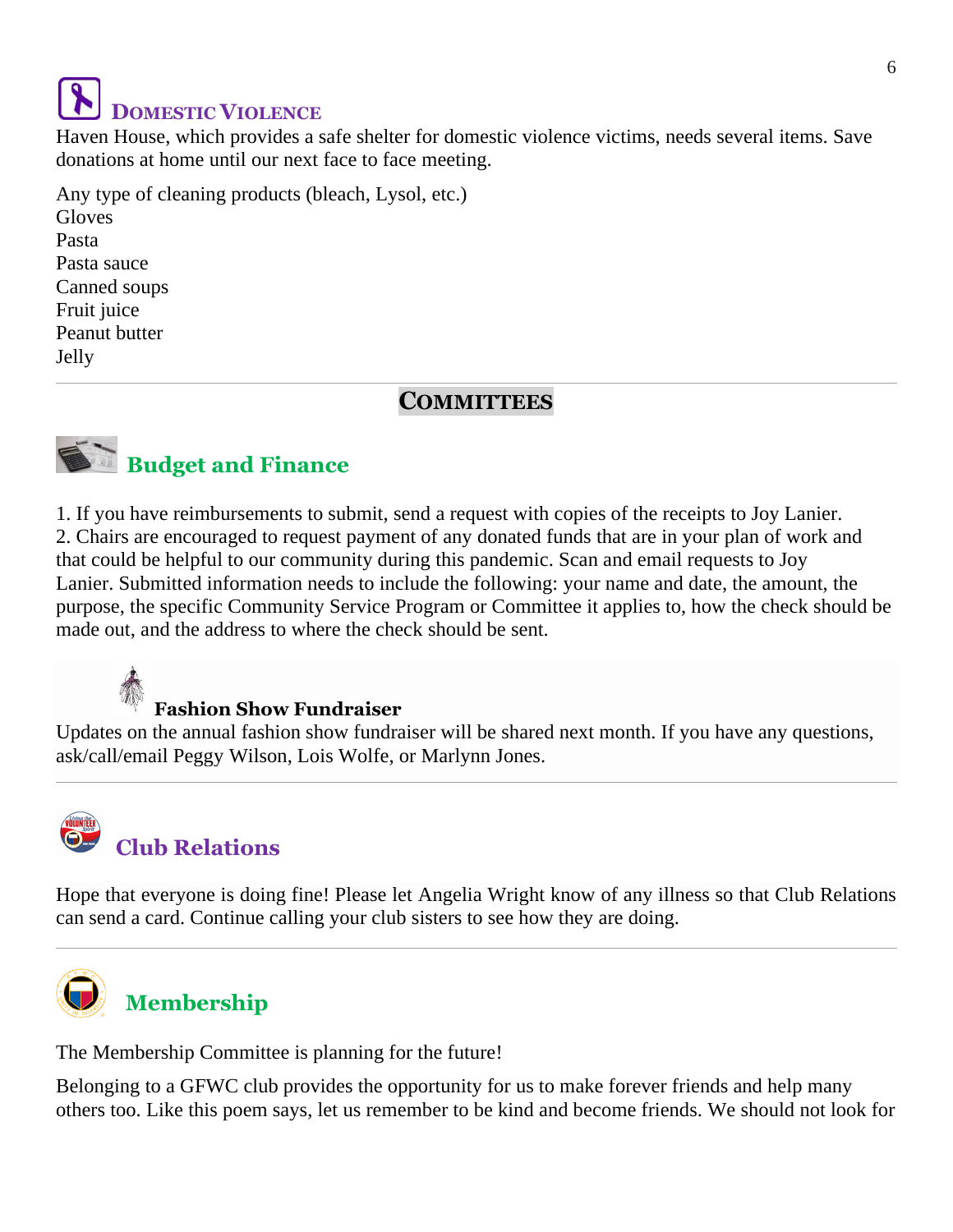# **DOMESTIC VIOLENCE**

Haven House, which provides a safe shelter for domestic violence victims, needs several items. Save donations at home until our next face to face meeting.

Any type of cleaning products (bleach, Lysol, etc.) Gloves Pasta Pasta sauce Canned soups Fruit juice Peanut butter Jelly

#### **COMMITTEES**



1. If you have reimbursements to submit, send a request with copies of the receipts to Joy Lanier. 2. Chairs are encouraged to request payment of any donated funds that are in your plan of work and that could be helpful to our community during this pandemic. Scan and email requests to Joy Lanier. Submitted information needs to include the following: your name and date, the amount, the purpose, the specific Community Service Program or Committee it applies to, how the check should be made out, and the address to where the check should be sent.

### **Fashion Show Fundraiser**

Updates on the annual fashion show fundraiser will be shared next month. If you have any questions, ask/call/email Peggy Wilson, Lois Wolfe, or Marlynn Jones.



Hope that everyone is doing fine! Please let Angelia Wright know of any illness so that Club Relations can send a card. Continue calling your club sisters to see how they are doing.



## **Membership**

The Membership Committee is planning for the future!

Belonging to a GFWC club provides the opportunity for us to make forever friends and help many others too. Like this poem says, let us remember to be kind and become friends. We should not look for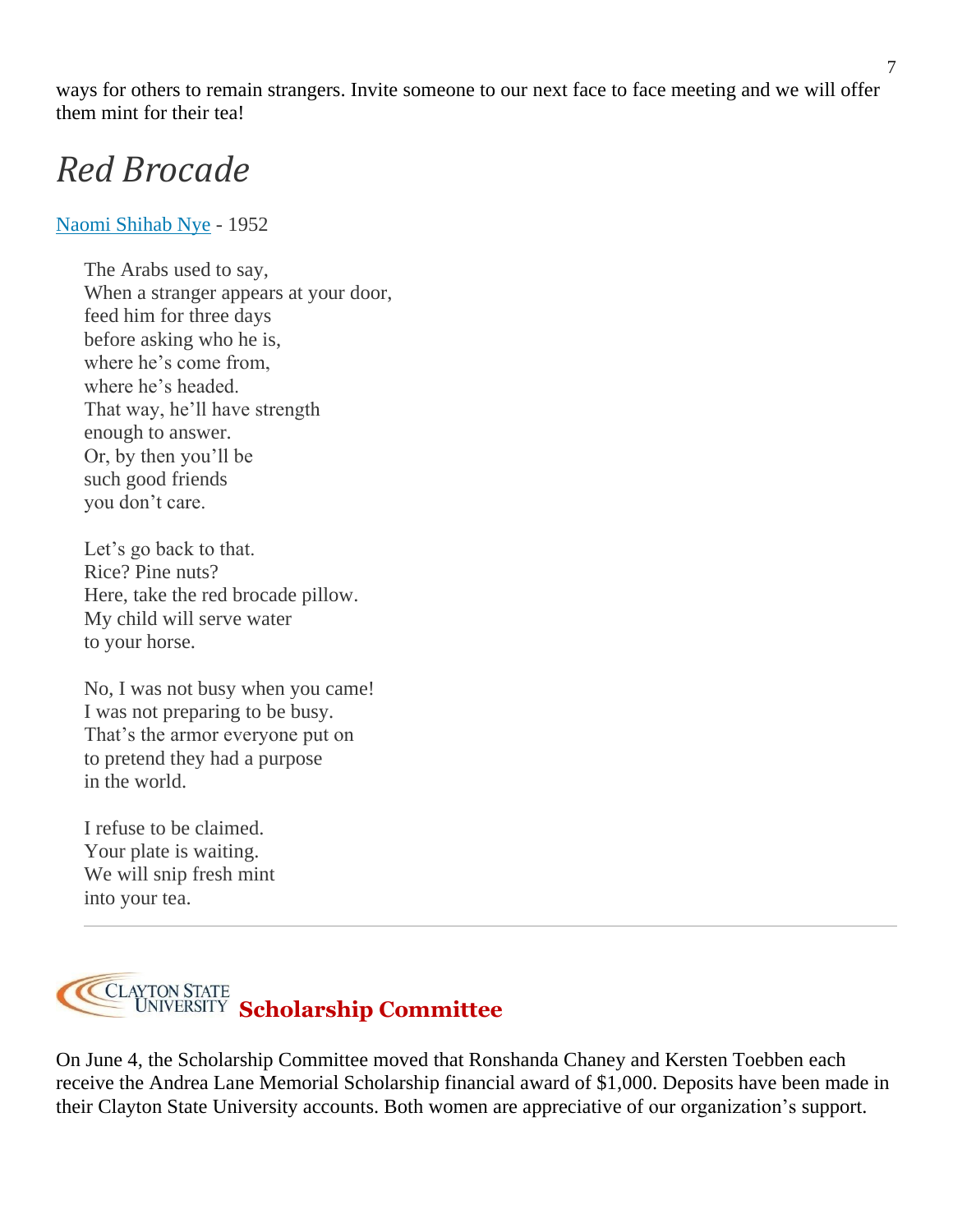ways for others to remain strangers. Invite someone to our next face to face meeting and we will offer them mint for their tea!

# *Red Brocade*

#### [Naomi Shihab Nye](https://poets.org/poet/naomi-shihab-nye) - 1952

The Arabs used to say, When a stranger appears at your door, feed him for three days before asking who he is, where he's come from, where he's headed. That way, he'll have strength enough to answer. Or, by then you'll be such good friends you don't care.

Let's go back to that. Rice? Pine nuts? Here, take the red brocade pillow. My child will serve water to your horse.

No, I was not busy when you came! I was not preparing to be busy. That's the armor everyone put on to pretend they had a purpose in the world.

I refuse to be claimed. Your plate is waiting. We will snip fresh mint into your tea.



On June 4, the Scholarship Committee moved that Ronshanda Chaney and Kersten Toebben each receive the Andrea Lane Memorial Scholarship financial award of \$1,000. Deposits have been made in their Clayton State University accounts. Both women are appreciative of our organization's support.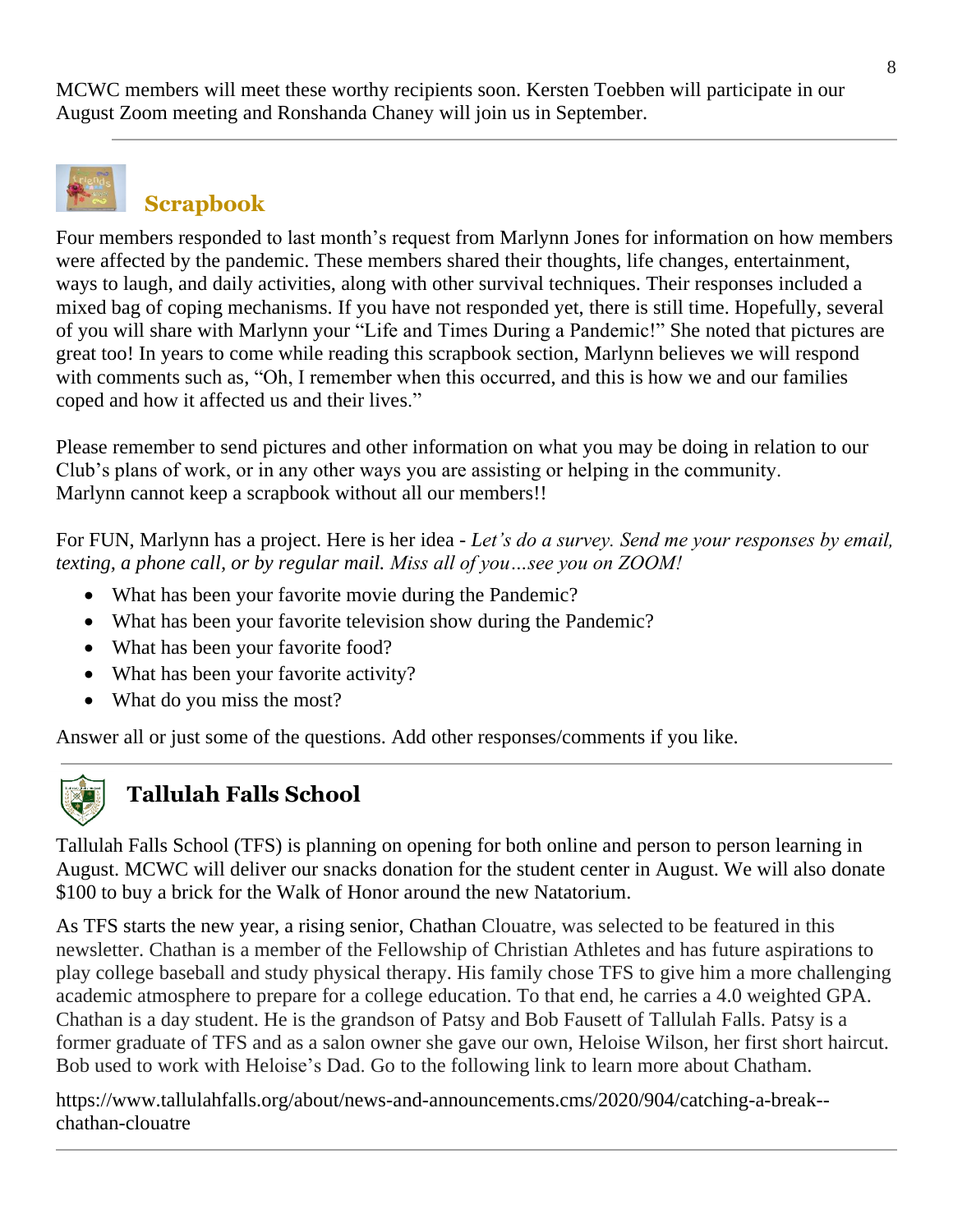MCWC members will meet these worthy recipients soon. Kersten Toebben will participate in our August Zoom meeting and Ronshanda Chaney will join us in September.



## **Scrapbook**

Four members responded to last month's request from Marlynn Jones for information on how members were affected by the pandemic. These members shared their thoughts, life changes, entertainment, ways to laugh, and daily activities, along with other survival techniques. Their responses included a mixed bag of coping mechanisms. If you have not responded yet, there is still time. Hopefully, several of you will share with Marlynn your "Life and Times During a Pandemic!" She noted that pictures are great too! In years to come while reading this scrapbook section, Marlynn believes we will respond with comments such as, "Oh, I remember when this occurred, and this is how we and our families coped and how it affected us and their lives."

Please remember to send pictures and other information on what you may be doing in relation to our Club's plans of work, or in any other ways you are assisting or helping in the community. Marlynn cannot keep a scrapbook without all our members!!

For FUN, Marlynn has a project. Here is her idea - *Let's do a survey. Send me your responses by email, texting, a phone call, or by regular mail. Miss all of you…see you on ZOOM!*

- What has been your favorite movie during the Pandemic?
- What has been your favorite television show during the Pandemic?
- What has been your favorite food?
- What has been your favorite activity?
- What do you miss the most?

Answer all or just some of the questions. Add other responses/comments if you like.



### **Tallulah Falls School**

Tallulah Falls School (TFS) is planning on opening for both online and person to person learning in August. MCWC will deliver our snacks donation for the student center in August. We will also donate \$100 to buy a brick for the Walk of Honor around the new Natatorium.

As TFS starts the new year, a rising senior, Chathan Clouatre, was selected to be featured in this newsletter. Chathan is a member of the Fellowship of Christian Athletes and has future aspirations to play college baseball and study physical therapy. His family chose TFS to give him a more challenging academic atmosphere to prepare for a college education. To that end, he carries a 4.0 weighted GPA. Chathan is a day student. He is the grandson of Patsy and Bob Fausett of Tallulah Falls. Patsy is a former graduate of TFS and as a salon owner she gave our own, Heloise Wilson, her first short haircut. Bob used to work with Heloise's Dad. Go to the following link to learn more about Chatham.

https://www.tallulahfalls.org/about/news-and-announcements.cms/2020/904/catching-a-break- chathan-clouatre